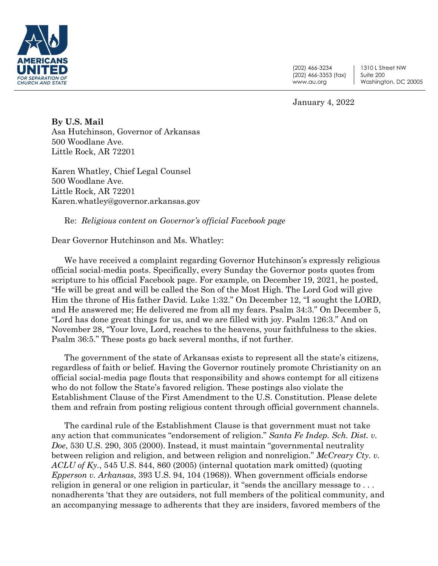

(202) 466-3234 (202) 466-3353 (fax) www.au.org

1310 L Street NW Suite 200 Washington, DC 20005

January 4, 2022

**By U.S. Mail** Asa Hutchinson, Governor of Arkansas 500 Woodlane Ave. Little Rock, AR 72201

Karen Whatley, Chief Legal Counsel 500 Woodlane Ave. Little Rock, AR 72201 Karen.whatley@governor.arkansas.gov

Re: *Religious content on Governor's official Facebook page* 

Dear Governor Hutchinson and Ms. Whatley:

We have received a complaint regarding Governor Hutchinson's expressly religious official social-media posts. Specifically, every Sunday the Governor posts quotes from scripture to his official Facebook page. For example, on December 19, 2021, he posted, "He will be great and will be called the Son of the Most High. The Lord God will give Him the throne of His father David. Luke 1:32." On December 12, "I sought the LORD, and He answered me; He delivered me from all my fears. Psalm 34:3." On December 5, "Lord has done great things for us, and we are filled with joy. Psalm 126:3." And on November 28, "Your love, Lord, reaches to the heavens, your faithfulness to the skies. Psalm 36:5." These posts go back several months, if not further.

The government of the state of Arkansas exists to represent all the state's citizens, regardless of faith or belief. Having the Governor routinely promote Christianity on an official social-media page flouts that responsibility and shows contempt for all citizens who do not follow the State's favored religion. These postings also violate the Establishment Clause of the First Amendment to the U.S. Constitution. Please delete them and refrain from posting religious content through official government channels.

The cardinal rule of the Establishment Clause is that government must not take any action that communicates "endorsement of religion." *Santa Fe Indep. Sch. Dist. v. Doe*, 530 U.S. 290, 305 (2000). Instead, it must maintain "governmental neutrality between religion and religion, and between religion and nonreligion." *McCreary Cty. v. ACLU of Ky.*, 545 U.S. 844, 860 (2005) (internal quotation mark omitted) (quoting *Epperson v. Arkansas*, 393 U.S. 94, 104 (1968)). When government officials endorse religion in general or one religion in particular, it "sends the ancillary message to . . . nonadherents 'that they are outsiders, not full members of the political community, and an accompanying message to adherents that they are insiders, favored members of the